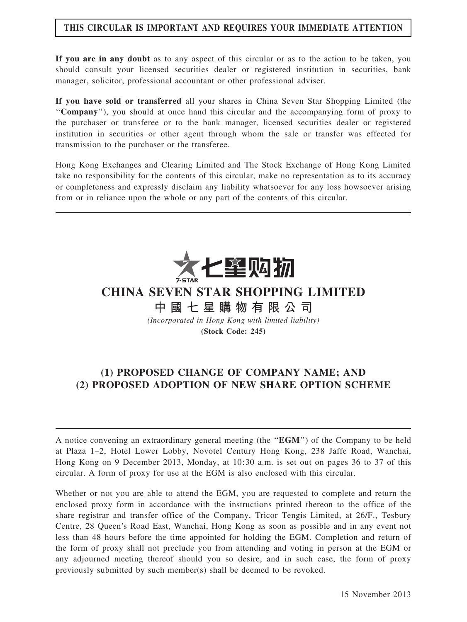# THIS CIRCULAR IS IMPORTANT AND REQUIRES YOUR IMMEDIATE ATTENTION

If you are in any doubt as to any aspect of this circular or as to the action to be taken, you should consult your licensed securities dealer or registered institution in securities, bank manager, solicitor, professional accountant or other professional adviser.

If you have sold or transferred all your shares in China Seven Star Shopping Limited (the ''Company''), you should at once hand this circular and the accompanying form of proxy to the purchaser or transferee or to the bank manager, licensed securities dealer or registered institution in securities or other agent through whom the sale or transfer was effected for transmission to the purchaser or the transferee.

Hong Kong Exchanges and Clearing Limited and The Stock Exchange of Hong Kong Limited take no responsibility for the contents of this circular, make no representation as to its accuracy or completeness and expressly disclaim any liability whatsoever for any loss howsoever arising from or in reliance upon the whole or any part of the contents of this circular.



# CHINA SEVEN STAR SHOPPING LIMITED

中 國 七 星 購 物 有 限 公 司

(Incorporated in Hong Kong with limited liability) (Stock Code: 245)

# (1) PROPOSED CHANGE OF COMPANY NAME; AND (2) PROPOSED ADOPTION OF NEW SHARE OPTION SCHEME

A notice convening an extraordinary general meeting (the ''EGM'') of the Company to be held at Plaza 1–2, Hotel Lower Lobby, Novotel Century Hong Kong, 238 Jaffe Road, Wanchai, Hong Kong on 9 December 2013, Monday, at 10:30 a.m. is set out on pages 36 to 37 of this circular. A form of proxy for use at the EGM is also enclosed with this circular.

Whether or not you are able to attend the EGM, you are requested to complete and return the enclosed proxy form in accordance with the instructions printed thereon to the office of the share registrar and transfer office of the Company, Tricor Tengis Limited, at 26/F., Tesbury Centre, 28 Queen's Road East, Wanchai, Hong Kong as soon as possible and in any event not less than 48 hours before the time appointed for holding the EGM. Completion and return of the form of proxy shall not preclude you from attending and voting in person at the EGM or any adjourned meeting thereof should you so desire, and in such case, the form of proxy previously submitted by such member(s) shall be deemed to be revoked.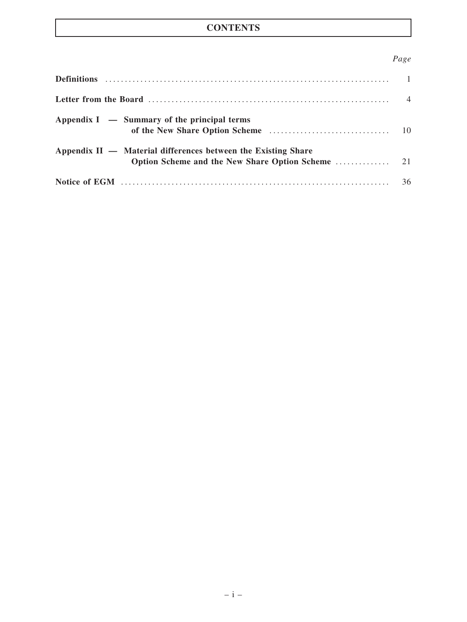# **CONTENTS**

# Page

|                                                               | $\overline{4}$ |
|---------------------------------------------------------------|----------------|
| Appendix $I - Summary$ of the principal terms                 |                |
| Appendix II — Material differences between the Existing Share |                |
|                                                               |                |
|                                                               | 36             |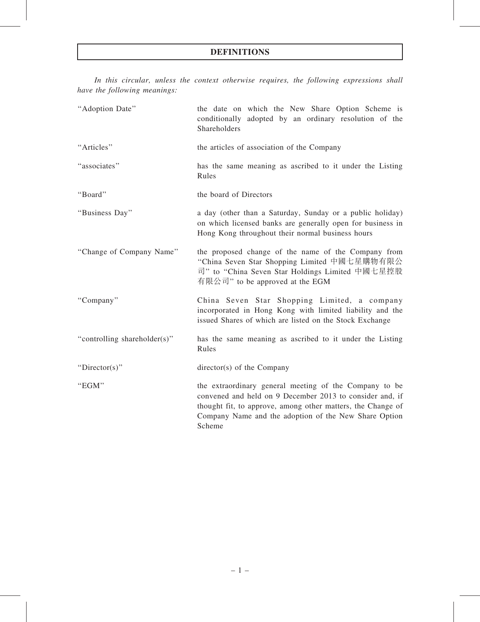In this circular, unless the context otherwise requires, the following expressions shall have the following meanings:

| "Adoption Date"              | the date on which the New Share Option Scheme is<br>conditionally adopted by an ordinary resolution of the<br>Shareholders                                                                                                                           |
|------------------------------|------------------------------------------------------------------------------------------------------------------------------------------------------------------------------------------------------------------------------------------------------|
| "Articles"                   | the articles of association of the Company                                                                                                                                                                                                           |
| "associates"                 | has the same meaning as ascribed to it under the Listing<br>Rules                                                                                                                                                                                    |
| "Board"                      | the board of Directors                                                                                                                                                                                                                               |
| "Business Day"               | a day (other than a Saturday, Sunday or a public holiday)<br>on which licensed banks are generally open for business in<br>Hong Kong throughout their normal business hours                                                                          |
| "Change of Company Name"     | the proposed change of the name of the Company from<br>"China Seven Star Shopping Limited 中國七星購物有限公<br>司" to "China Seven Star Holdings Limited 中國七星控股<br>有限公司" to be approved at the EGM                                                            |
| "Company"                    | China Seven Star Shopping Limited, a company<br>incorporated in Hong Kong with limited liability and the<br>issued Shares of which are listed on the Stock Exchange                                                                                  |
| "controlling shareholder(s)" | has the same meaning as ascribed to it under the Listing<br>Rules                                                                                                                                                                                    |
| "Director(s)"                | director(s) of the Company                                                                                                                                                                                                                           |
| "EGM"                        | the extraordinary general meeting of the Company to be<br>convened and held on 9 December 2013 to consider and, if<br>thought fit, to approve, among other matters, the Change of<br>Company Name and the adoption of the New Share Option<br>Scheme |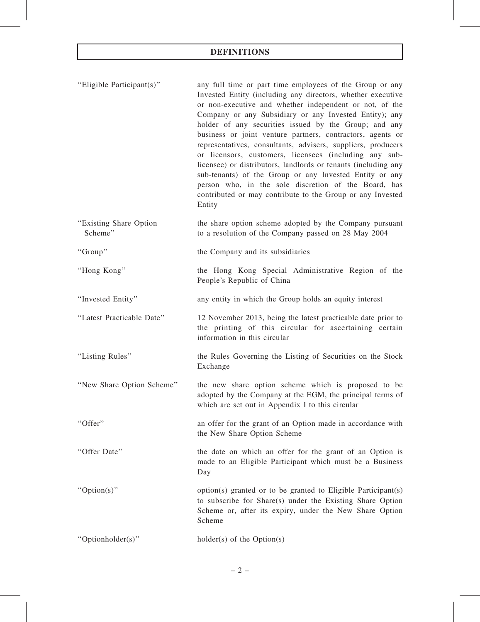# DEFINITIONS

| "Eligible Participant(s)"         | any full time or part time employees of the Group or any<br>Invested Entity (including any directors, whether executive<br>or non-executive and whether independent or not, of the<br>Company or any Subsidiary or any Invested Entity); any<br>holder of any securities issued by the Group; and any<br>business or joint venture partners, contractors, agents or<br>representatives, consultants, advisers, suppliers, producers<br>or licensors, customers, licensees (including any sub-<br>licensee) or distributors, landlords or tenants (including any<br>sub-tenants) of the Group or any Invested Entity or any<br>person who, in the sole discretion of the Board, has<br>contributed or may contribute to the Group or any Invested<br>Entity |
|-----------------------------------|------------------------------------------------------------------------------------------------------------------------------------------------------------------------------------------------------------------------------------------------------------------------------------------------------------------------------------------------------------------------------------------------------------------------------------------------------------------------------------------------------------------------------------------------------------------------------------------------------------------------------------------------------------------------------------------------------------------------------------------------------------|
| "Existing Share Option<br>Scheme" | the share option scheme adopted by the Company pursuant<br>to a resolution of the Company passed on 28 May 2004                                                                                                                                                                                                                                                                                                                                                                                                                                                                                                                                                                                                                                            |
| "Group"                           | the Company and its subsidiaries                                                                                                                                                                                                                                                                                                                                                                                                                                                                                                                                                                                                                                                                                                                           |
| "Hong Kong"                       | the Hong Kong Special Administrative Region of the<br>People's Republic of China                                                                                                                                                                                                                                                                                                                                                                                                                                                                                                                                                                                                                                                                           |
| "Invested Entity"                 | any entity in which the Group holds an equity interest                                                                                                                                                                                                                                                                                                                                                                                                                                                                                                                                                                                                                                                                                                     |
| "Latest Practicable Date"         | 12 November 2013, being the latest practicable date prior to<br>the printing of this circular for ascertaining certain<br>information in this circular                                                                                                                                                                                                                                                                                                                                                                                                                                                                                                                                                                                                     |
| "Listing Rules"                   | the Rules Governing the Listing of Securities on the Stock<br>Exchange                                                                                                                                                                                                                                                                                                                                                                                                                                                                                                                                                                                                                                                                                     |
| "New Share Option Scheme"         | the new share option scheme which is proposed to be<br>adopted by the Company at the EGM, the principal terms of<br>which are set out in Appendix I to this circular                                                                                                                                                                                                                                                                                                                                                                                                                                                                                                                                                                                       |
| "Offer"                           | an offer for the grant of an Option made in accordance with<br>the New Share Option Scheme                                                                                                                                                                                                                                                                                                                                                                                                                                                                                                                                                                                                                                                                 |
| "Offer Date"                      | the date on which an offer for the grant of an Option is<br>made to an Eligible Participant which must be a Business<br>Day                                                                                                                                                                                                                                                                                                                                                                                                                                                                                                                                                                                                                                |
| " $Option(s)$ "                   | option(s) granted or to be granted to Eligible Participant(s)<br>to subscribe for Share(s) under the Existing Share Option<br>Scheme or, after its expiry, under the New Share Option<br>Scheme                                                                                                                                                                                                                                                                                                                                                                                                                                                                                                                                                            |
| "Optionholder(s)"                 | $holder(s)$ of the Option(s)                                                                                                                                                                                                                                                                                                                                                                                                                                                                                                                                                                                                                                                                                                                               |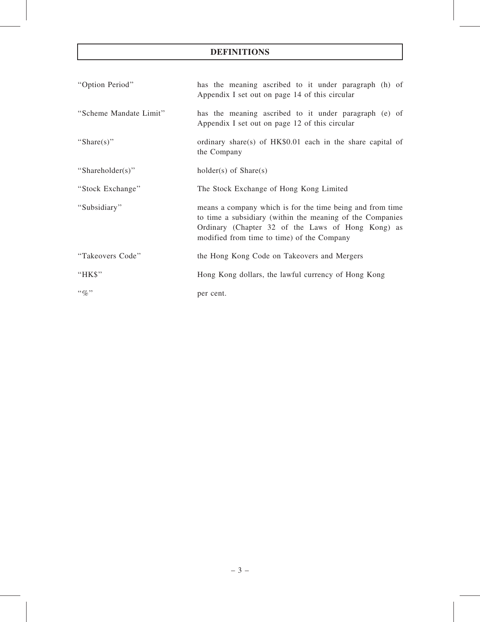# DEFINITIONS

| "Option Period"        | has the meaning ascribed to it under paragraph (h) of<br>Appendix I set out on page 14 of this circular                                                                                                                   |
|------------------------|---------------------------------------------------------------------------------------------------------------------------------------------------------------------------------------------------------------------------|
| "Scheme Mandate Limit" | has the meaning ascribed to it under paragraph (e) of<br>Appendix I set out on page 12 of this circular                                                                                                                   |
| "Share(s)"             | ordinary share(s) of HK\$0.01 each in the share capital of<br>the Company                                                                                                                                                 |
| "Shareholder(s)"       | $holder(s)$ of $Share(s)$                                                                                                                                                                                                 |
| "Stock Exchange"       | The Stock Exchange of Hong Kong Limited                                                                                                                                                                                   |
| "Subsidiary"           | means a company which is for the time being and from time<br>to time a subsidiary (within the meaning of the Companies<br>Ordinary (Chapter 32 of the Laws of Hong Kong) as<br>modified from time to time) of the Company |
| "Takeovers Code"       | the Hong Kong Code on Takeovers and Mergers                                                                                                                                                                               |
| "HK\$"                 | Hong Kong dollars, the lawful currency of Hong Kong                                                                                                                                                                       |
| $\lq\lq q_0$ "         | per cent.                                                                                                                                                                                                                 |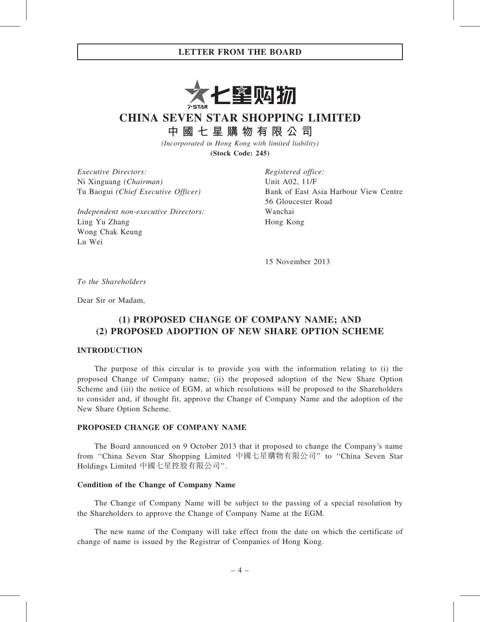

CHINA SEVEN STAR SHOPPING LIMITED

中 國 七 星 購 物 有 限 公 司

(Incorporated in Hong Kong with limited liability) (Stock Code: 245)

Executive Directors: Ni Xinguang (Chairman) Tu Baogui (Chief Executive Officer)

Independent non-executive Directors: Ling Yu Zhang Wong Chak Keung Lu Wei

Registered office: Unit A02, 11/F Bank of East Asia Harbour View Centre 56 Gloucester Road Wanchai Hong Kong

15 November 2013

To the Shareholders

Dear Sir or Madam,

# (1) PROPOSED CHANGE OF COMPANY NAME; AND (2) PROPOSED ADOPTION OF NEW SHARE OPTION SCHEME

## INTRODUCTION

The purpose of this circular is to provide you with the information relating to (i) the proposed Change of Company name; (ii) the proposed adoption of the New Share Option Scheme and (iii) the notice of EGM, at which resolutions will be proposed to the Shareholders to consider and, if thought fit, approve the Change of Company Name and the adoption of the New Share Option Scheme.

### PROPOSED CHANGE OF COMPANY NAME

The Board announced on 9 October 2013 that it proposed to change the Company's name from ''China Seven Star Shopping Limited 中國七星購物有限公司'' to ''China Seven Star Holdings Limited 中國七星控股有限公司''.

#### Condition of the Change of Company Name

The Change of Company Name will be subject to the passing of a special resolution by the Shareholders to approve the Change of Company Name at the EGM.

The new name of the Company will take effect from the date on which the certificate of change of name is issued by the Registrar of Companies of Hong Kong.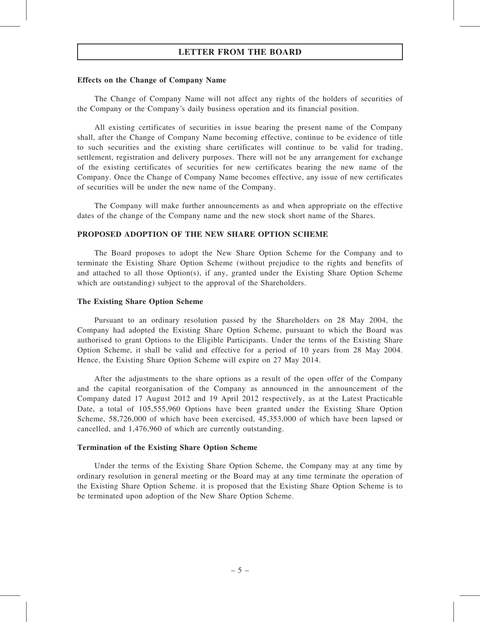#### Effects on the Change of Company Name

The Change of Company Name will not affect any rights of the holders of securities of the Company or the Company's daily business operation and its financial position.

All existing certificates of securities in issue bearing the present name of the Company shall, after the Change of Company Name becoming effective, continue to be evidence of title to such securities and the existing share certificates will continue to be valid for trading, settlement, registration and delivery purposes. There will not be any arrangement for exchange of the existing certificates of securities for new certificates bearing the new name of the Company. Once the Change of Company Name becomes effective, any issue of new certificates of securities will be under the new name of the Company.

The Company will make further announcements as and when appropriate on the effective dates of the change of the Company name and the new stock short name of the Shares.

#### PROPOSED ADOPTION OF THE NEW SHARE OPTION SCHEME

The Board proposes to adopt the New Share Option Scheme for the Company and to terminate the Existing Share Option Scheme (without prejudice to the rights and benefits of and attached to all those Option(s), if any, granted under the Existing Share Option Scheme which are outstanding) subject to the approval of the Shareholders.

#### The Existing Share Option Scheme

Pursuant to an ordinary resolution passed by the Shareholders on 28 May 2004, the Company had adopted the Existing Share Option Scheme, pursuant to which the Board was authorised to grant Options to the Eligible Participants. Under the terms of the Existing Share Option Scheme, it shall be valid and effective for a period of 10 years from 28 May 2004. Hence, the Existing Share Option Scheme will expire on 27 May 2014.

After the adjustments to the share options as a result of the open offer of the Company and the capital reorganisation of the Company as announced in the announcement of the Company dated 17 August 2012 and 19 April 2012 respectively, as at the Latest Practicable Date, a total of 105,555,960 Options have been granted under the Existing Share Option Scheme, 58,726,000 of which have been exercised, 45,353,000 of which have been lapsed or cancelled, and 1,476,960 of which are currently outstanding.

#### Termination of the Existing Share Option Scheme

Under the terms of the Existing Share Option Scheme, the Company may at any time by ordinary resolution in general meeting or the Board may at any time terminate the operation of the Existing Share Option Scheme. it is proposed that the Existing Share Option Scheme is to be terminated upon adoption of the New Share Option Scheme.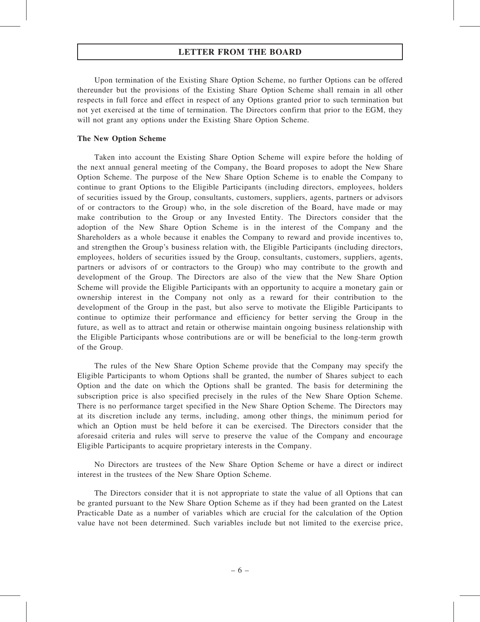Upon termination of the Existing Share Option Scheme, no further Options can be offered thereunder but the provisions of the Existing Share Option Scheme shall remain in all other respects in full force and effect in respect of any Options granted prior to such termination but not yet exercised at the time of termination. The Directors confirm that prior to the EGM, they will not grant any options under the Existing Share Option Scheme.

# The New Option Scheme

Taken into account the Existing Share Option Scheme will expire before the holding of the next annual general meeting of the Company, the Board proposes to adopt the New Share Option Scheme. The purpose of the New Share Option Scheme is to enable the Company to continue to grant Options to the Eligible Participants (including directors, employees, holders of securities issued by the Group, consultants, customers, suppliers, agents, partners or advisors of or contractors to the Group) who, in the sole discretion of the Board, have made or may make contribution to the Group or any Invested Entity. The Directors consider that the adoption of the New Share Option Scheme is in the interest of the Company and the Shareholders as a whole because it enables the Company to reward and provide incentives to, and strengthen the Group's business relation with, the Eligible Participants (including directors, employees, holders of securities issued by the Group, consultants, customers, suppliers, agents, partners or advisors of or contractors to the Group) who may contribute to the growth and development of the Group. The Directors are also of the view that the New Share Option Scheme will provide the Eligible Participants with an opportunity to acquire a monetary gain or ownership interest in the Company not only as a reward for their contribution to the development of the Group in the past, but also serve to motivate the Eligible Participants to continue to optimize their performance and efficiency for better serving the Group in the future, as well as to attract and retain or otherwise maintain ongoing business relationship with the Eligible Participants whose contributions are or will be beneficial to the long-term growth of the Group.

The rules of the New Share Option Scheme provide that the Company may specify the Eligible Participants to whom Options shall be granted, the number of Shares subject to each Option and the date on which the Options shall be granted. The basis for determining the subscription price is also specified precisely in the rules of the New Share Option Scheme. There is no performance target specified in the New Share Option Scheme. The Directors may at its discretion include any terms, including, among other things, the minimum period for which an Option must be held before it can be exercised. The Directors consider that the aforesaid criteria and rules will serve to preserve the value of the Company and encourage Eligible Participants to acquire proprietary interests in the Company.

No Directors are trustees of the New Share Option Scheme or have a direct or indirect interest in the trustees of the New Share Option Scheme.

The Directors consider that it is not appropriate to state the value of all Options that can be granted pursuant to the New Share Option Scheme as if they had been granted on the Latest Practicable Date as a number of variables which are crucial for the calculation of the Option value have not been determined. Such variables include but not limited to the exercise price,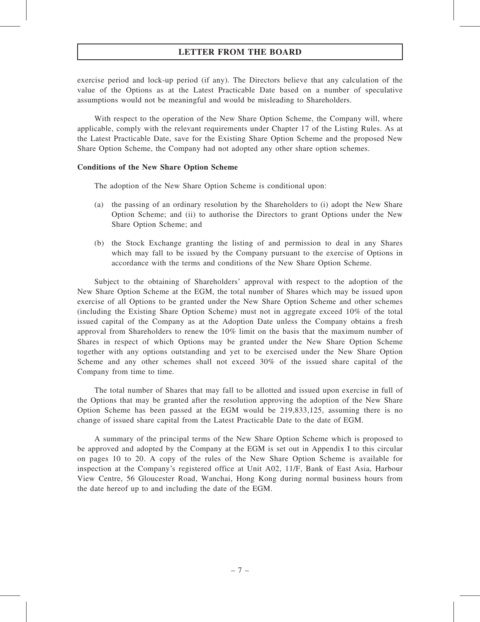exercise period and lock-up period (if any). The Directors believe that any calculation of the value of the Options as at the Latest Practicable Date based on a number of speculative assumptions would not be meaningful and would be misleading to Shareholders.

With respect to the operation of the New Share Option Scheme, the Company will, where applicable, comply with the relevant requirements under Chapter 17 of the Listing Rules. As at the Latest Practicable Date, save for the Existing Share Option Scheme and the proposed New Share Option Scheme, the Company had not adopted any other share option schemes.

# Conditions of the New Share Option Scheme

The adoption of the New Share Option Scheme is conditional upon:

- (a) the passing of an ordinary resolution by the Shareholders to (i) adopt the New Share Option Scheme; and (ii) to authorise the Directors to grant Options under the New Share Option Scheme; and
- (b) the Stock Exchange granting the listing of and permission to deal in any Shares which may fall to be issued by the Company pursuant to the exercise of Options in accordance with the terms and conditions of the New Share Option Scheme.

Subject to the obtaining of Shareholders' approval with respect to the adoption of the New Share Option Scheme at the EGM, the total number of Shares which may be issued upon exercise of all Options to be granted under the New Share Option Scheme and other schemes (including the Existing Share Option Scheme) must not in aggregate exceed 10% of the total issued capital of the Company as at the Adoption Date unless the Company obtains a fresh approval from Shareholders to renew the 10% limit on the basis that the maximum number of Shares in respect of which Options may be granted under the New Share Option Scheme together with any options outstanding and yet to be exercised under the New Share Option Scheme and any other schemes shall not exceed 30% of the issued share capital of the Company from time to time.

The total number of Shares that may fall to be allotted and issued upon exercise in full of the Options that may be granted after the resolution approving the adoption of the New Share Option Scheme has been passed at the EGM would be 219,833,125, assuming there is no change of issued share capital from the Latest Practicable Date to the date of EGM.

A summary of the principal terms of the New Share Option Scheme which is proposed to be approved and adopted by the Company at the EGM is set out in Appendix I to this circular on pages 10 to 20. A copy of the rules of the New Share Option Scheme is available for inspection at the Company's registered office at Unit A02, 11/F, Bank of East Asia, Harbour View Centre, 56 Gloucester Road, Wanchai, Hong Kong during normal business hours from the date hereof up to and including the date of the EGM.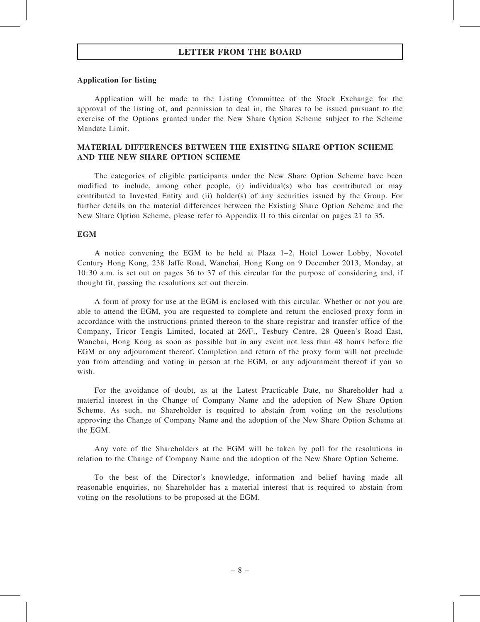#### Application for listing

Application will be made to the Listing Committee of the Stock Exchange for the approval of the listing of, and permission to deal in, the Shares to be issued pursuant to the exercise of the Options granted under the New Share Option Scheme subject to the Scheme Mandate Limit.

# MATERIAL DIFFERENCES BETWEEN THE EXISTING SHARE OPTION SCHEME AND THE NEW SHARE OPTION SCHEME

The categories of eligible participants under the New Share Option Scheme have been modified to include, among other people, (i) individual(s) who has contributed or may contributed to Invested Entity and (ii) holder(s) of any securities issued by the Group. For further details on the material differences between the Existing Share Option Scheme and the New Share Option Scheme, please refer to Appendix II to this circular on pages 21 to 35.

#### EGM

A notice convening the EGM to be held at Plaza 1–2, Hotel Lower Lobby, Novotel Century Hong Kong, 238 Jaffe Road, Wanchai, Hong Kong on 9 December 2013, Monday, at 10:30 a.m. is set out on pages 36 to 37 of this circular for the purpose of considering and, if thought fit, passing the resolutions set out therein.

A form of proxy for use at the EGM is enclosed with this circular. Whether or not you are able to attend the EGM, you are requested to complete and return the enclosed proxy form in accordance with the instructions printed thereon to the share registrar and transfer office of the Company, Tricor Tengis Limited, located at 26/F., Tesbury Centre, 28 Queen's Road East, Wanchai, Hong Kong as soon as possible but in any event not less than 48 hours before the EGM or any adjournment thereof. Completion and return of the proxy form will not preclude you from attending and voting in person at the EGM, or any adjournment thereof if you so wish.

For the avoidance of doubt, as at the Latest Practicable Date, no Shareholder had a material interest in the Change of Company Name and the adoption of New Share Option Scheme. As such, no Shareholder is required to abstain from voting on the resolutions approving the Change of Company Name and the adoption of the New Share Option Scheme at the EGM.

Any vote of the Shareholders at the EGM will be taken by poll for the resolutions in relation to the Change of Company Name and the adoption of the New Share Option Scheme.

To the best of the Director's knowledge, information and belief having made all reasonable enquiries, no Shareholder has a material interest that is required to abstain from voting on the resolutions to be proposed at the EGM.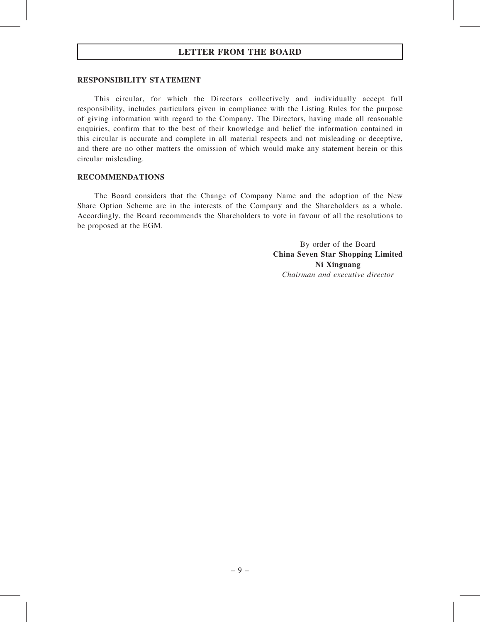#### RESPONSIBILITY STATEMENT

This circular, for which the Directors collectively and individually accept full responsibility, includes particulars given in compliance with the Listing Rules for the purpose of giving information with regard to the Company. The Directors, having made all reasonable enquiries, confirm that to the best of their knowledge and belief the information contained in this circular is accurate and complete in all material respects and not misleading or deceptive, and there are no other matters the omission of which would make any statement herein or this circular misleading.

#### RECOMMENDATIONS

The Board considers that the Change of Company Name and the adoption of the New Share Option Scheme are in the interests of the Company and the Shareholders as a whole. Accordingly, the Board recommends the Shareholders to vote in favour of all the resolutions to be proposed at the EGM.

> By order of the Board China Seven Star Shopping Limited Ni Xinguang Chairman and executive director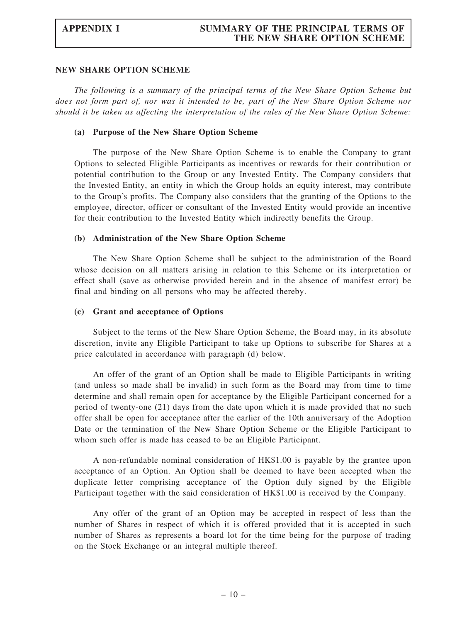# APPENDIX I SUMMARY OF THE PRINCIPAL TERMS OF THE NEW SHARE OPTION SCHEME

#### NEW SHARE OPTION SCHEME

The following is a summary of the principal terms of the New Share Option Scheme but does not form part of, nor was it intended to be, part of the New Share Option Scheme nor should it be taken as affecting the interpretation of the rules of the New Share Option Scheme:

### (a) Purpose of the New Share Option Scheme

The purpose of the New Share Option Scheme is to enable the Company to grant Options to selected Eligible Participants as incentives or rewards for their contribution or potential contribution to the Group or any Invested Entity. The Company considers that the Invested Entity, an entity in which the Group holds an equity interest, may contribute to the Group's profits. The Company also considers that the granting of the Options to the employee, director, officer or consultant of the Invested Entity would provide an incentive for their contribution to the Invested Entity which indirectly benefits the Group.

### (b) Administration of the New Share Option Scheme

The New Share Option Scheme shall be subject to the administration of the Board whose decision on all matters arising in relation to this Scheme or its interpretation or effect shall (save as otherwise provided herein and in the absence of manifest error) be final and binding on all persons who may be affected thereby.

### (c) Grant and acceptance of Options

Subject to the terms of the New Share Option Scheme, the Board may, in its absolute discretion, invite any Eligible Participant to take up Options to subscribe for Shares at a price calculated in accordance with paragraph (d) below.

An offer of the grant of an Option shall be made to Eligible Participants in writing (and unless so made shall be invalid) in such form as the Board may from time to time determine and shall remain open for acceptance by the Eligible Participant concerned for a period of twenty-one (21) days from the date upon which it is made provided that no such offer shall be open for acceptance after the earlier of the 10th anniversary of the Adoption Date or the termination of the New Share Option Scheme or the Eligible Participant to whom such offer is made has ceased to be an Eligible Participant.

A non-refundable nominal consideration of HK\$1.00 is payable by the grantee upon acceptance of an Option. An Option shall be deemed to have been accepted when the duplicate letter comprising acceptance of the Option duly signed by the Eligible Participant together with the said consideration of HK\$1.00 is received by the Company.

Any offer of the grant of an Option may be accepted in respect of less than the number of Shares in respect of which it is offered provided that it is accepted in such number of Shares as represents a board lot for the time being for the purpose of trading on the Stock Exchange or an integral multiple thereof.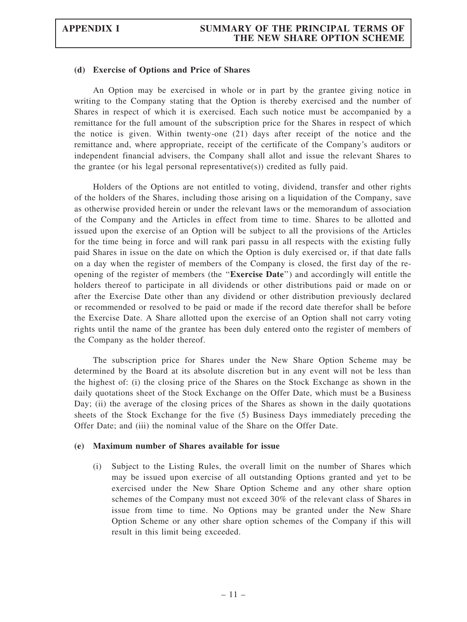#### (d) Exercise of Options and Price of Shares

An Option may be exercised in whole or in part by the grantee giving notice in writing to the Company stating that the Option is thereby exercised and the number of Shares in respect of which it is exercised. Each such notice must be accompanied by a remittance for the full amount of the subscription price for the Shares in respect of which the notice is given. Within twenty-one (21) days after receipt of the notice and the remittance and, where appropriate, receipt of the certificate of the Company's auditors or independent financial advisers, the Company shall allot and issue the relevant Shares to the grantee (or his legal personal representative(s)) credited as fully paid.

Holders of the Options are not entitled to voting, dividend, transfer and other rights of the holders of the Shares, including those arising on a liquidation of the Company, save as otherwise provided herein or under the relevant laws or the memorandum of association of the Company and the Articles in effect from time to time. Shares to be allotted and issued upon the exercise of an Option will be subject to all the provisions of the Articles for the time being in force and will rank pari passu in all respects with the existing fully paid Shares in issue on the date on which the Option is duly exercised or, if that date falls on a day when the register of members of the Company is closed, the first day of the reopening of the register of members (the ''Exercise Date'') and accordingly will entitle the holders thereof to participate in all dividends or other distributions paid or made on or after the Exercise Date other than any dividend or other distribution previously declared or recommended or resolved to be paid or made if the record date therefor shall be before the Exercise Date. A Share allotted upon the exercise of an Option shall not carry voting rights until the name of the grantee has been duly entered onto the register of members of the Company as the holder thereof.

The subscription price for Shares under the New Share Option Scheme may be determined by the Board at its absolute discretion but in any event will not be less than the highest of: (i) the closing price of the Shares on the Stock Exchange as shown in the daily quotations sheet of the Stock Exchange on the Offer Date, which must be a Business Day; (ii) the average of the closing prices of the Shares as shown in the daily quotations sheets of the Stock Exchange for the five (5) Business Days immediately preceding the Offer Date; and (iii) the nominal value of the Share on the Offer Date.

#### (e) Maximum number of Shares available for issue

(i) Subject to the Listing Rules, the overall limit on the number of Shares which may be issued upon exercise of all outstanding Options granted and yet to be exercised under the New Share Option Scheme and any other share option schemes of the Company must not exceed 30% of the relevant class of Shares in issue from time to time. No Options may be granted under the New Share Option Scheme or any other share option schemes of the Company if this will result in this limit being exceeded.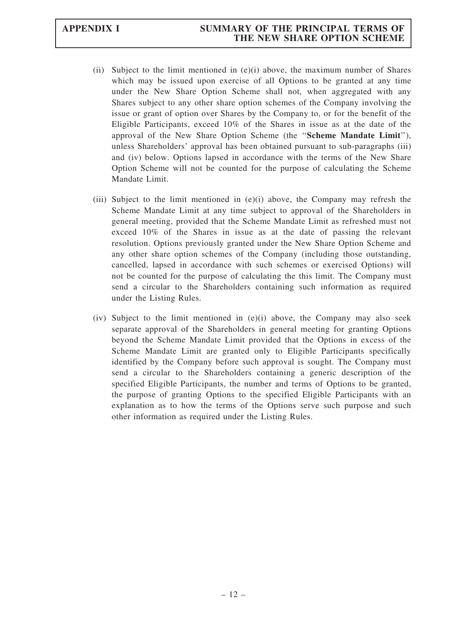# APPENDIX I SUMMARY OF THE PRINCIPAL TERMS OF THE NEW SHARE OPTION SCHEME

- (ii) Subject to the limit mentioned in  $(e)(i)$  above, the maximum number of Shares which may be issued upon exercise of all Options to be granted at any time under the New Share Option Scheme shall not, when aggregated with any Shares subject to any other share option schemes of the Company involving the issue or grant of option over Shares by the Company to, or for the benefit of the Eligible Participants, exceed 10% of the Shares in issue as at the date of the approval of the New Share Option Scheme (the ''Scheme Mandate Limit''), unless Shareholders' approval has been obtained pursuant to sub-paragraphs (iii) and (iv) below. Options lapsed in accordance with the terms of the New Share Option Scheme will not be counted for the purpose of calculating the Scheme Mandate Limit.
- (iii) Subject to the limit mentioned in (e)(i) above, the Company may refresh the Scheme Mandate Limit at any time subject to approval of the Shareholders in general meeting, provided that the Scheme Mandate Limit as refreshed must not exceed 10% of the Shares in issue as at the date of passing the relevant resolution. Options previously granted under the New Share Option Scheme and any other share option schemes of the Company (including those outstanding, cancelled, lapsed in accordance with such schemes or exercised Options) will not be counted for the purpose of calculating the this limit. The Company must send a circular to the Shareholders containing such information as required under the Listing Rules.
- (iv) Subject to the limit mentioned in  $(e)(i)$  above, the Company may also seek separate approval of the Shareholders in general meeting for granting Options beyond the Scheme Mandate Limit provided that the Options in excess of the Scheme Mandate Limit are granted only to Eligible Participants specifically identified by the Company before such approval is sought. The Company must send a circular to the Shareholders containing a generic description of the specified Eligible Participants, the number and terms of Options to be granted, the purpose of granting Options to the specified Eligible Participants with an explanation as to how the terms of the Options serve such purpose and such other information as required under the Listing Rules.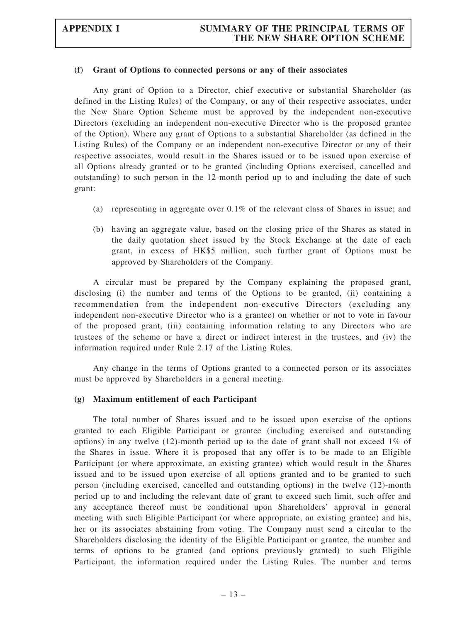#### (f) Grant of Options to connected persons or any of their associates

Any grant of Option to a Director, chief executive or substantial Shareholder (as defined in the Listing Rules) of the Company, or any of their respective associates, under the New Share Option Scheme must be approved by the independent non-executive Directors (excluding an independent non-executive Director who is the proposed grantee of the Option). Where any grant of Options to a substantial Shareholder (as defined in the Listing Rules) of the Company or an independent non-executive Director or any of their respective associates, would result in the Shares issued or to be issued upon exercise of all Options already granted or to be granted (including Options exercised, cancelled and outstanding) to such person in the 12-month period up to and including the date of such grant:

- (a) representing in aggregate over 0.1% of the relevant class of Shares in issue; and
- (b) having an aggregate value, based on the closing price of the Shares as stated in the daily quotation sheet issued by the Stock Exchange at the date of each grant, in excess of HK\$5 million, such further grant of Options must be approved by Shareholders of the Company.

A circular must be prepared by the Company explaining the proposed grant, disclosing (i) the number and terms of the Options to be granted, (ii) containing a recommendation from the independent non-executive Directors (excluding any independent non-executive Director who is a grantee) on whether or not to vote in favour of the proposed grant, (iii) containing information relating to any Directors who are trustees of the scheme or have a direct or indirect interest in the trustees, and (iv) the information required under Rule 2.17 of the Listing Rules.

Any change in the terms of Options granted to a connected person or its associates must be approved by Shareholders in a general meeting.

#### (g) Maximum entitlement of each Participant

The total number of Shares issued and to be issued upon exercise of the options granted to each Eligible Participant or grantee (including exercised and outstanding options) in any twelve  $(12)$ -month period up to the date of grant shall not exceed  $1\%$  of the Shares in issue. Where it is proposed that any offer is to be made to an Eligible Participant (or where approximate, an existing grantee) which would result in the Shares issued and to be issued upon exercise of all options granted and to be granted to such person (including exercised, cancelled and outstanding options) in the twelve (12)-month period up to and including the relevant date of grant to exceed such limit, such offer and any acceptance thereof must be conditional upon Shareholders' approval in general meeting with such Eligible Participant (or where appropriate, an existing grantee) and his, her or its associates abstaining from voting. The Company must send a circular to the Shareholders disclosing the identity of the Eligible Participant or grantee, the number and terms of options to be granted (and options previously granted) to such Eligible Participant, the information required under the Listing Rules. The number and terms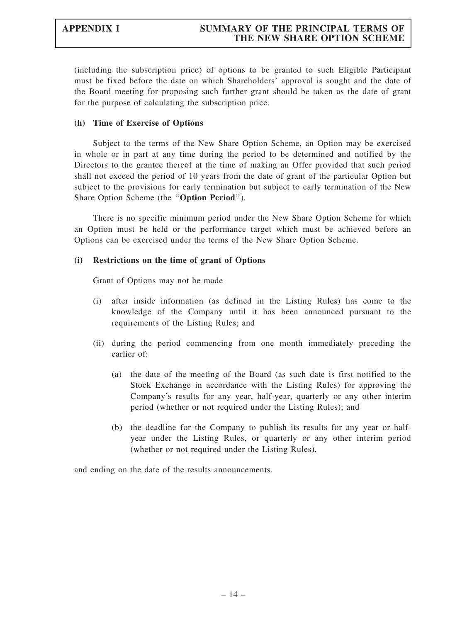(including the subscription price) of options to be granted to such Eligible Participant must be fixed before the date on which Shareholders' approval is sought and the date of the Board meeting for proposing such further grant should be taken as the date of grant for the purpose of calculating the subscription price.

## (h) Time of Exercise of Options

Subject to the terms of the New Share Option Scheme, an Option may be exercised in whole or in part at any time during the period to be determined and notified by the Directors to the grantee thereof at the time of making an Offer provided that such period shall not exceed the period of 10 years from the date of grant of the particular Option but subject to the provisions for early termination but subject to early termination of the New Share Option Scheme (the "Option Period").

There is no specific minimum period under the New Share Option Scheme for which an Option must be held or the performance target which must be achieved before an Options can be exercised under the terms of the New Share Option Scheme.

### (i) Restrictions on the time of grant of Options

Grant of Options may not be made

- (i) after inside information (as defined in the Listing Rules) has come to the knowledge of the Company until it has been announced pursuant to the requirements of the Listing Rules; and
- (ii) during the period commencing from one month immediately preceding the earlier of:
	- (a) the date of the meeting of the Board (as such date is first notified to the Stock Exchange in accordance with the Listing Rules) for approving the Company's results for any year, half-year, quarterly or any other interim period (whether or not required under the Listing Rules); and
	- (b) the deadline for the Company to publish its results for any year or halfyear under the Listing Rules, or quarterly or any other interim period (whether or not required under the Listing Rules),

and ending on the date of the results announcements.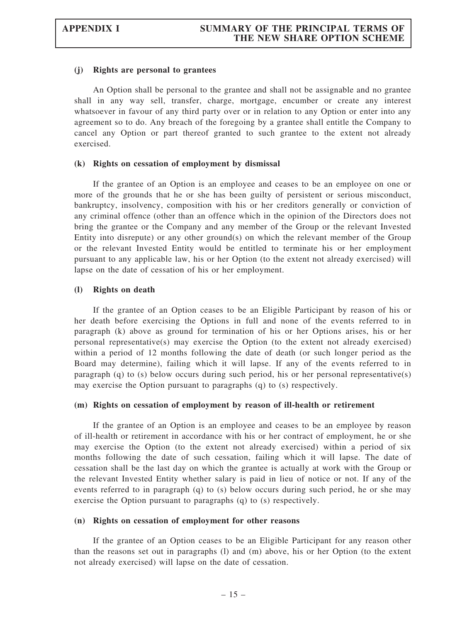#### (j) Rights are personal to grantees

An Option shall be personal to the grantee and shall not be assignable and no grantee shall in any way sell, transfer, charge, mortgage, encumber or create any interest whatsoever in favour of any third party over or in relation to any Option or enter into any agreement so to do. Any breach of the foregoing by a grantee shall entitle the Company to cancel any Option or part thereof granted to such grantee to the extent not already exercised.

#### (k) Rights on cessation of employment by dismissal

If the grantee of an Option is an employee and ceases to be an employee on one or more of the grounds that he or she has been guilty of persistent or serious misconduct, bankruptcy, insolvency, composition with his or her creditors generally or conviction of any criminal offence (other than an offence which in the opinion of the Directors does not bring the grantee or the Company and any member of the Group or the relevant Invested Entity into disrepute) or any other ground(s) on which the relevant member of the Group or the relevant Invested Entity would be entitled to terminate his or her employment pursuant to any applicable law, his or her Option (to the extent not already exercised) will lapse on the date of cessation of his or her employment.

#### (l) Rights on death

If the grantee of an Option ceases to be an Eligible Participant by reason of his or her death before exercising the Options in full and none of the events referred to in paragraph (k) above as ground for termination of his or her Options arises, his or her personal representative(s) may exercise the Option (to the extent not already exercised) within a period of 12 months following the date of death (or such longer period as the Board may determine), failing which it will lapse. If any of the events referred to in paragraph (q) to (s) below occurs during such period, his or her personal representative(s) may exercise the Option pursuant to paragraphs (q) to (s) respectively.

#### (m) Rights on cessation of employment by reason of ill-health or retirement

If the grantee of an Option is an employee and ceases to be an employee by reason of ill-health or retirement in accordance with his or her contract of employment, he or she may exercise the Option (to the extent not already exercised) within a period of six months following the date of such cessation, failing which it will lapse. The date of cessation shall be the last day on which the grantee is actually at work with the Group or the relevant Invested Entity whether salary is paid in lieu of notice or not. If any of the events referred to in paragraph (q) to (s) below occurs during such period, he or she may exercise the Option pursuant to paragraphs (q) to (s) respectively.

#### (n) Rights on cessation of employment for other reasons

If the grantee of an Option ceases to be an Eligible Participant for any reason other than the reasons set out in paragraphs (l) and (m) above, his or her Option (to the extent not already exercised) will lapse on the date of cessation.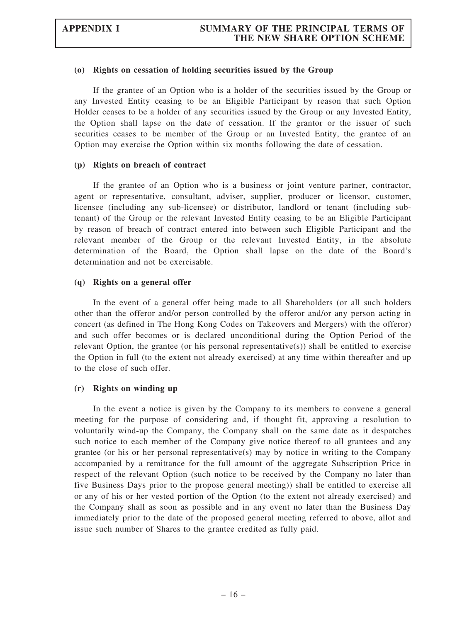#### (o) Rights on cessation of holding securities issued by the Group

If the grantee of an Option who is a holder of the securities issued by the Group or any Invested Entity ceasing to be an Eligible Participant by reason that such Option Holder ceases to be a holder of any securities issued by the Group or any Invested Entity, the Option shall lapse on the date of cessation. If the grantor or the issuer of such securities ceases to be member of the Group or an Invested Entity, the grantee of an Option may exercise the Option within six months following the date of cessation.

#### (p) Rights on breach of contract

If the grantee of an Option who is a business or joint venture partner, contractor, agent or representative, consultant, adviser, supplier, producer or licensor, customer, licensee (including any sub-licensee) or distributor, landlord or tenant (including subtenant) of the Group or the relevant Invested Entity ceasing to be an Eligible Participant by reason of breach of contract entered into between such Eligible Participant and the relevant member of the Group or the relevant Invested Entity, in the absolute determination of the Board, the Option shall lapse on the date of the Board's determination and not be exercisable.

#### (q) Rights on a general offer

In the event of a general offer being made to all Shareholders (or all such holders other than the offeror and/or person controlled by the offeror and/or any person acting in concert (as defined in The Hong Kong Codes on Takeovers and Mergers) with the offeror) and such offer becomes or is declared unconditional during the Option Period of the relevant Option, the grantee (or his personal representative $(s)$ ) shall be entitled to exercise the Option in full (to the extent not already exercised) at any time within thereafter and up to the close of such offer.

#### (r) Rights on winding up

In the event a notice is given by the Company to its members to convene a general meeting for the purpose of considering and, if thought fit, approving a resolution to voluntarily wind-up the Company, the Company shall on the same date as it despatches such notice to each member of the Company give notice thereof to all grantees and any grantee (or his or her personal representative(s) may by notice in writing to the Company accompanied by a remittance for the full amount of the aggregate Subscription Price in respect of the relevant Option (such notice to be received by the Company no later than five Business Days prior to the propose general meeting)) shall be entitled to exercise all or any of his or her vested portion of the Option (to the extent not already exercised) and the Company shall as soon as possible and in any event no later than the Business Day immediately prior to the date of the proposed general meeting referred to above, allot and issue such number of Shares to the grantee credited as fully paid.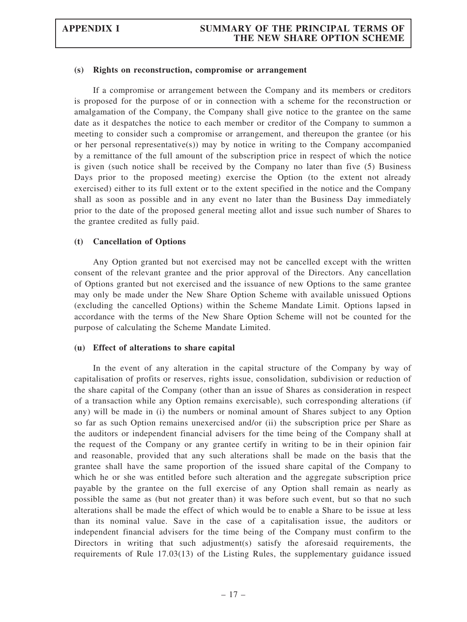#### (s) Rights on reconstruction, compromise or arrangement

If a compromise or arrangement between the Company and its members or creditors is proposed for the purpose of or in connection with a scheme for the reconstruction or amalgamation of the Company, the Company shall give notice to the grantee on the same date as it despatches the notice to each member or creditor of the Company to summon a meeting to consider such a compromise or arrangement, and thereupon the grantee (or his or her personal representative(s)) may by notice in writing to the Company accompanied by a remittance of the full amount of the subscription price in respect of which the notice is given (such notice shall be received by the Company no later than five (5) Business Days prior to the proposed meeting) exercise the Option (to the extent not already exercised) either to its full extent or to the extent specified in the notice and the Company shall as soon as possible and in any event no later than the Business Day immediately prior to the date of the proposed general meeting allot and issue such number of Shares to the grantee credited as fully paid.

#### (t) Cancellation of Options

Any Option granted but not exercised may not be cancelled except with the written consent of the relevant grantee and the prior approval of the Directors. Any cancellation of Options granted but not exercised and the issuance of new Options to the same grantee may only be made under the New Share Option Scheme with available unissued Options (excluding the cancelled Options) within the Scheme Mandate Limit. Options lapsed in accordance with the terms of the New Share Option Scheme will not be counted for the purpose of calculating the Scheme Mandate Limited.

#### (u) Effect of alterations to share capital

In the event of any alteration in the capital structure of the Company by way of capitalisation of profits or reserves, rights issue, consolidation, subdivision or reduction of the share capital of the Company (other than an issue of Shares as consideration in respect of a transaction while any Option remains exercisable), such corresponding alterations (if any) will be made in (i) the numbers or nominal amount of Shares subject to any Option so far as such Option remains unexercised and/or (ii) the subscription price per Share as the auditors or independent financial advisers for the time being of the Company shall at the request of the Company or any grantee certify in writing to be in their opinion fair and reasonable, provided that any such alterations shall be made on the basis that the grantee shall have the same proportion of the issued share capital of the Company to which he or she was entitled before such alteration and the aggregate subscription price payable by the grantee on the full exercise of any Option shall remain as nearly as possible the same as (but not greater than) it was before such event, but so that no such alterations shall be made the effect of which would be to enable a Share to be issue at less than its nominal value. Save in the case of a capitalisation issue, the auditors or independent financial advisers for the time being of the Company must confirm to the Directors in writing that such adjustment(s) satisfy the aforesaid requirements, the requirements of Rule 17.03(13) of the Listing Rules, the supplementary guidance issued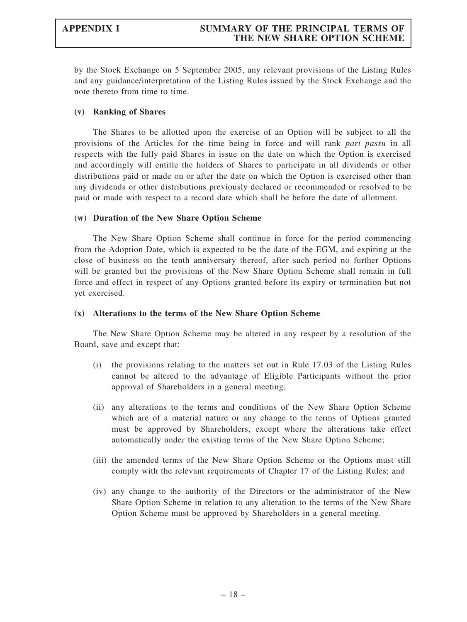by the Stock Exchange on 5 September 2005, any relevant provisions of the Listing Rules and any guidance/interpretation of the Listing Rules issued by the Stock Exchange and the note thereto from time to time.

## (v) Ranking of Shares

The Shares to be allotted upon the exercise of an Option will be subject to all the provisions of the Articles for the time being in force and will rank pari passu in all respects with the fully paid Shares in issue on the date on which the Option is exercised and accordingly will entitle the holders of Shares to participate in all dividends or other distributions paid or made on or after the date on which the Option is exercised other than any dividends or other distributions previously declared or recommended or resolved to be paid or made with respect to a record date which shall be before the date of allotment.

### (w) Duration of the New Share Option Scheme

The New Share Option Scheme shall continue in force for the period commencing from the Adoption Date, which is expected to be the date of the EGM, and expiring at the close of business on the tenth anniversary thereof, after such period no further Options will be granted but the provisions of the New Share Option Scheme shall remain in full force and effect in respect of any Options granted before its expiry or termination but not yet exercised.

## (x) Alterations to the terms of the New Share Option Scheme

The New Share Option Scheme may be altered in any respect by a resolution of the Board, save and except that:

- (i) the provisions relating to the matters set out in Rule 17.03 of the Listing Rules cannot be altered to the advantage of Eligible Participants without the prior approval of Shareholders in a general meeting;
- (ii) any alterations to the terms and conditions of the New Share Option Scheme which are of a material nature or any change to the terms of Options granted must be approved by Shareholders, except where the alterations take effect automatically under the existing terms of the New Share Option Scheme;
- (iii) the amended terms of the New Share Option Scheme or the Options must still comply with the relevant requirements of Chapter 17 of the Listing Rules; and
- (iv) any change to the authority of the Directors or the administrator of the New Share Option Scheme in relation to any alteration to the terms of the New Share Option Scheme must be approved by Shareholders in a general meeting.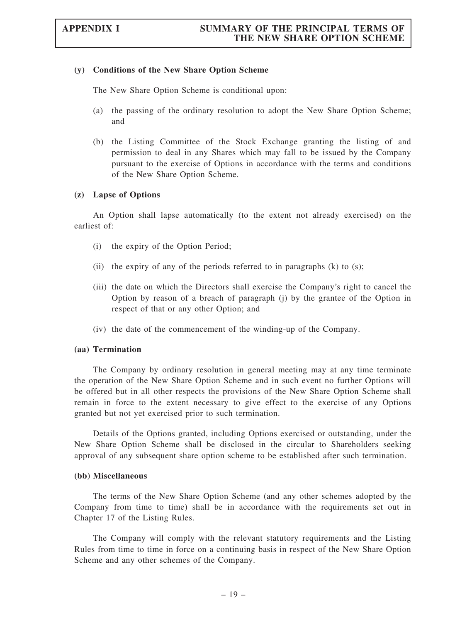#### (y) Conditions of the New Share Option Scheme

The New Share Option Scheme is conditional upon:

- (a) the passing of the ordinary resolution to adopt the New Share Option Scheme; and
- (b) the Listing Committee of the Stock Exchange granting the listing of and permission to deal in any Shares which may fall to be issued by the Company pursuant to the exercise of Options in accordance with the terms and conditions of the New Share Option Scheme.

### (z) Lapse of Options

An Option shall lapse automatically (to the extent not already exercised) on the earliest of:

- (i) the expiry of the Option Period;
- (ii) the expiry of any of the periods referred to in paragraphs  $(k)$  to  $(s)$ ;
- (iii) the date on which the Directors shall exercise the Company's right to cancel the Option by reason of a breach of paragraph (j) by the grantee of the Option in respect of that or any other Option; and
- (iv) the date of the commencement of the winding-up of the Company.

#### (aa) Termination

The Company by ordinary resolution in general meeting may at any time terminate the operation of the New Share Option Scheme and in such event no further Options will be offered but in all other respects the provisions of the New Share Option Scheme shall remain in force to the extent necessary to give effect to the exercise of any Options granted but not yet exercised prior to such termination.

Details of the Options granted, including Options exercised or outstanding, under the New Share Option Scheme shall be disclosed in the circular to Shareholders seeking approval of any subsequent share option scheme to be established after such termination.

#### (bb) Miscellaneous

The terms of the New Share Option Scheme (and any other schemes adopted by the Company from time to time) shall be in accordance with the requirements set out in Chapter 17 of the Listing Rules.

The Company will comply with the relevant statutory requirements and the Listing Rules from time to time in force on a continuing basis in respect of the New Share Option Scheme and any other schemes of the Company.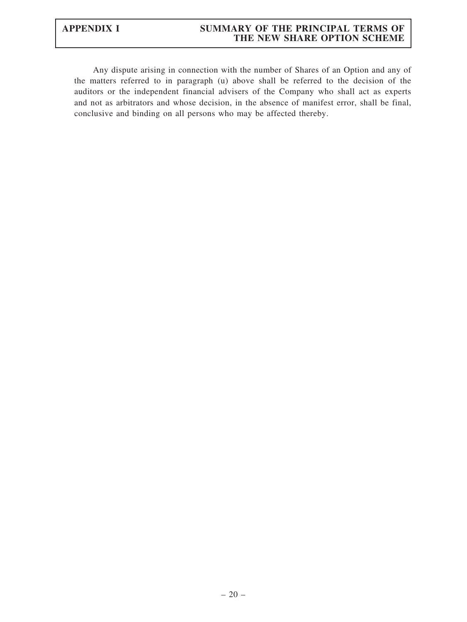# APPENDIX I SUMMARY OF THE PRINCIPAL TERMS OF THE NEW SHARE OPTION SCHEME

Any dispute arising in connection with the number of Shares of an Option and any of the matters referred to in paragraph (u) above shall be referred to the decision of the auditors or the independent financial advisers of the Company who shall act as experts and not as arbitrators and whose decision, in the absence of manifest error, shall be final, conclusive and binding on all persons who may be affected thereby.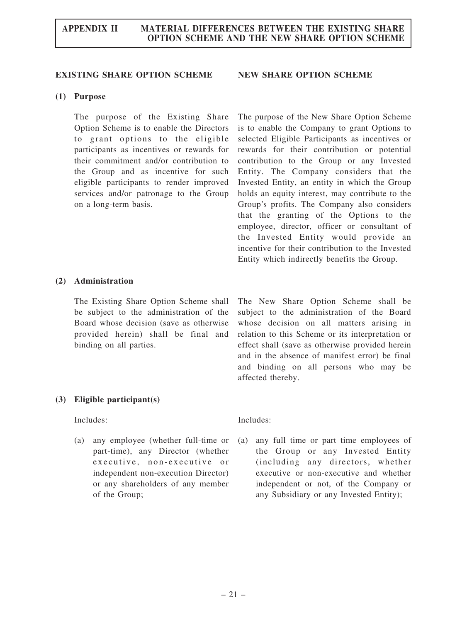#### EXISTING SHARE OPTION SCHEME NEW SHARE OPTION SCHEME

The purpose of the New Share Option Scheme is to enable the Company to grant Options to selected Eligible Participants as incentives or rewards for their contribution or potential contribution to the Group or any Invested Entity. The Company considers that the Invested Entity, an entity in which the Group holds an equity interest, may contribute to the Group's profits. The Company also considers that the granting of the Options to the employee, director, officer or consultant of the Invested Entity would provide an incentive for their contribution to the Invested Entity which indirectly benefits the Group.

#### (1) Purpose

The purpose of the Existing Share Option Scheme is to enable the Directors to grant options to the eligible participants as incentives or rewards for their commitment and/or contribution to the Group and as incentive for such eligible participants to render improved services and/or patronage to the Group on a long-term basis.

#### (2) Administration

The Existing Share Option Scheme shall be subject to the administration of the Board whose decision (save as otherwise provided herein) shall be final and binding on all parties.

The New Share Option Scheme shall be subject to the administration of the Board whose decision on all matters arising in relation to this Scheme or its interpretation or effect shall (save as otherwise provided herein and in the absence of manifest error) be final and binding on all persons who may be affected thereby.

#### (3) Eligible participant(s)

Includes: Includes:

(a) any employee (whether full-time or part-time), any Director (whether executive, non-executive or independent non-execution Director) or any shareholders of any member of the Group;

(a) any full time or part time employees of the Group or any Invested Entity (including any directors, whether executive or non-executive and whether independent or not, of the Company or any Subsidiary or any Invested Entity);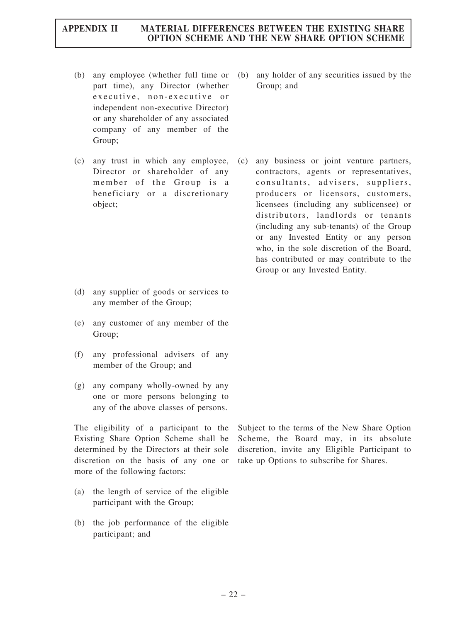(b) any employee (whether full time or part time), any Director (whether executive, non-executive or independent non-executive Director) or any shareholder of any associated company of any member of the Group;

Director or shareholder of any member of the Group is a beneficiary or a discretionary object;

- (d) any supplier of goods or services to any member of the Group;
- (e) any customer of any member of the Group;
- (f) any professional advisers of any member of the Group; and
- (g) any company wholly-owned by any one or more persons belonging to any of the above classes of persons.

The eligibility of a participant to the Existing Share Option Scheme shall be determined by the Directors at their sole discretion on the basis of any one or more of the following factors:

- (a) the length of service of the eligible participant with the Group;
- (b) the job performance of the eligible participant; and

(b) any holder of any securities issued by the Group; and

(c) any trust in which any employee, (c) any business or joint venture partners, contractors, agents or representatives, consultants, advisers, suppliers, producers or licensors, customers, licensees (including any sublicensee) or distributors, landlords or tenants (including any sub-tenants) of the Group or any Invested Entity or any person who, in the sole discretion of the Board, has contributed or may contribute to the Group or any Invested Entity.

> Subject to the terms of the New Share Option Scheme, the Board may, in its absolute discretion, invite any Eligible Participant to take up Options to subscribe for Shares.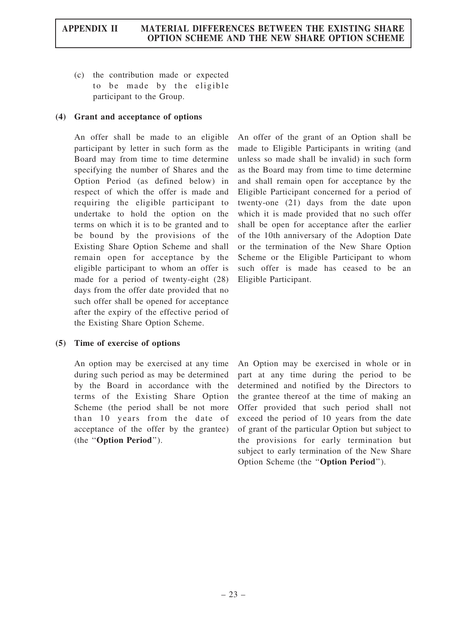(c) the contribution made or expected to be made by the eligible participant to the Group.

# (4) Grant and acceptance of options

An offer shall be made to an eligible participant by letter in such form as the Board may from time to time determine specifying the number of Shares and the Option Period (as defined below) in respect of which the offer is made and requiring the eligible participant to undertake to hold the option on the terms on which it is to be granted and to be bound by the provisions of the Existing Share Option Scheme and shall remain open for acceptance by the eligible participant to whom an offer is made for a period of twenty-eight (28) days from the offer date provided that no such offer shall be opened for acceptance after the expiry of the effective period of the Existing Share Option Scheme.

# An offer of the grant of an Option shall be made to Eligible Participants in writing (and unless so made shall be invalid) in such form as the Board may from time to time determine and shall remain open for acceptance by the Eligible Participant concerned for a period of twenty-one (21) days from the date upon which it is made provided that no such offer shall be open for acceptance after the earlier of the 10th anniversary of the Adoption Date or the termination of the New Share Option Scheme or the Eligible Participant to whom such offer is made has ceased to be an Eligible Participant.

# (5) Time of exercise of options

An option may be exercised at any time during such period as may be determined by the Board in accordance with the terms of the Existing Share Option Scheme (the period shall be not more than 10 years from the date of acceptance of the offer by the grantee) (the ''Option Period'').

An Option may be exercised in whole or in part at any time during the period to be determined and notified by the Directors to the grantee thereof at the time of making an Offer provided that such period shall not exceed the period of 10 years from the date of grant of the particular Option but subject to the provisions for early termination but subject to early termination of the New Share Option Scheme (the ''Option Period'').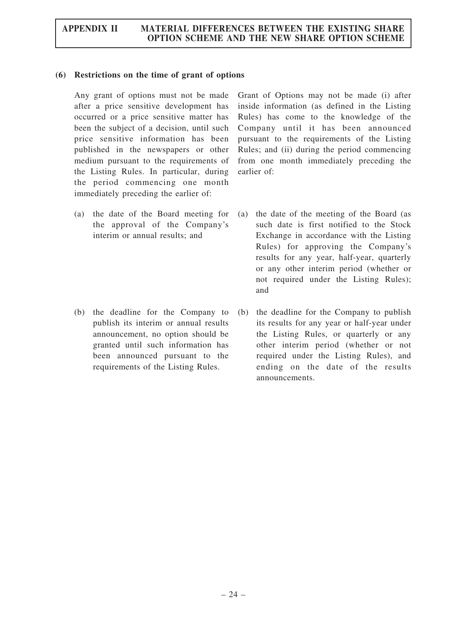## (6) Restrictions on the time of grant of options

Any grant of options must not be made after a price sensitive development has occurred or a price sensitive matter has been the subject of a decision, until such price sensitive information has been published in the newspapers or other medium pursuant to the requirements of the Listing Rules. In particular, during the period commencing one month immediately preceding the earlier of:

(a) the date of the Board meeting for the approval of the Company's interim or annual results; and

(b) the deadline for the Company to publish its interim or annual results announcement, no option should be granted until such information has been announced pursuant to the requirements of the Listing Rules.

Grant of Options may not be made (i) after inside information (as defined in the Listing Rules) has come to the knowledge of the Company until it has been announced pursuant to the requirements of the Listing Rules; and (ii) during the period commencing from one month immediately preceding the earlier of:

- the date of the meeting of the Board (as such date is first notified to the Stock Exchange in accordance with the Listing Rules) for approving the Company's results for any year, half-year, quarterly or any other interim period (whether or not required under the Listing Rules); and
- (b) the deadline for the Company to publish its results for any year or half-year under the Listing Rules, or quarterly or any other interim period (whether or not required under the Listing Rules), and ending on the date of the results announcements.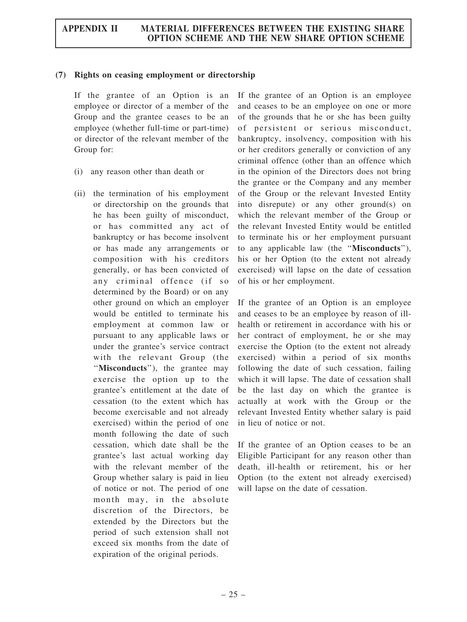## (7) Rights on ceasing employment or directorship

If the grantee of an Option is an employee or director of a member of the Group and the grantee ceases to be an employee (whether full-time or part-time) or director of the relevant member of the Group for:

- (i) any reason other than death or
- (ii) the termination of his employment or directorship on the grounds that he has been guilty of misconduct, or has committed any act of bankruptcy or has become insolvent or has made any arrangements or composition with his creditors generally, or has been convicted of any criminal offence (if so determined by the Board) or on any other ground on which an employer would be entitled to terminate his employment at common law or pursuant to any applicable laws or under the grantee's service contract with the relevant Group (the ''Misconducts''), the grantee may exercise the option up to the grantee's entitlement at the date of cessation (to the extent which has become exercisable and not already exercised) within the period of one month following the date of such cessation, which date shall be the grantee's last actual working day with the relevant member of the Group whether salary is paid in lieu of notice or not. The period of one month may, in the absolute discretion of the Directors, be extended by the Directors but the period of such extension shall not exceed six months from the date of expiration of the original periods.

If the grantee of an Option is an employee and ceases to be an employee on one or more of the grounds that he or she has been guilty of persistent or serious misconduct, bankruptcy, insolvency, composition with his or her creditors generally or conviction of any criminal offence (other than an offence which in the opinion of the Directors does not bring the grantee or the Company and any member of the Group or the relevant Invested Entity into disrepute) or any other ground(s) on which the relevant member of the Group or the relevant Invested Entity would be entitled to terminate his or her employment pursuant to any applicable law (the ''Misconducts''), his or her Option (to the extent not already exercised) will lapse on the date of cessation of his or her employment.

If the grantee of an Option is an employee and ceases to be an employee by reason of illhealth or retirement in accordance with his or her contract of employment, he or she may exercise the Option (to the extent not already exercised) within a period of six months following the date of such cessation, failing which it will lapse. The date of cessation shall be the last day on which the grantee is actually at work with the Group or the relevant Invested Entity whether salary is paid in lieu of notice or not.

If the grantee of an Option ceases to be an Eligible Participant for any reason other than death, ill-health or retirement, his or her Option (to the extent not already exercised) will lapse on the date of cessation.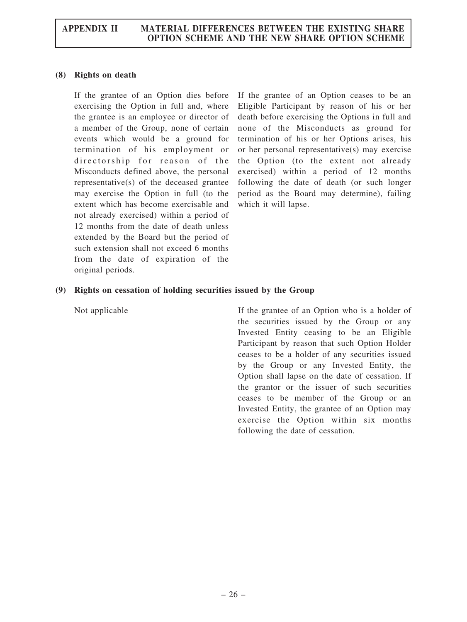# (8) Rights on death

If the grantee of an Option dies before exercising the Option in full and, where the grantee is an employee or director of a member of the Group, none of certain events which would be a ground for termination of his employment or directorship for reason of the Misconducts defined above, the personal representative(s) of the deceased grantee may exercise the Option in full (to the extent which has become exercisable and not already exercised) within a period of 12 months from the date of death unless extended by the Board but the period of such extension shall not exceed 6 months from the date of expiration of the original periods.

If the grantee of an Option ceases to be an Eligible Participant by reason of his or her death before exercising the Options in full and none of the Misconducts as ground for termination of his or her Options arises, his or her personal representative(s) may exercise the Option (to the extent not already exercised) within a period of 12 months following the date of death (or such longer period as the Board may determine), failing which it will lapse.

# (9) Rights on cessation of holding securities issued by the Group

Not applicable **If the grantee of an Option who is a holder of** the securities issued by the Group or any Invested Entity ceasing to be an Eligible Participant by reason that such Option Holder ceases to be a holder of any securities issued by the Group or any Invested Entity, the Option shall lapse on the date of cessation. If the grantor or the issuer of such securities ceases to be member of the Group or an Invested Entity, the grantee of an Option may exercise the Option within six months following the date of cessation.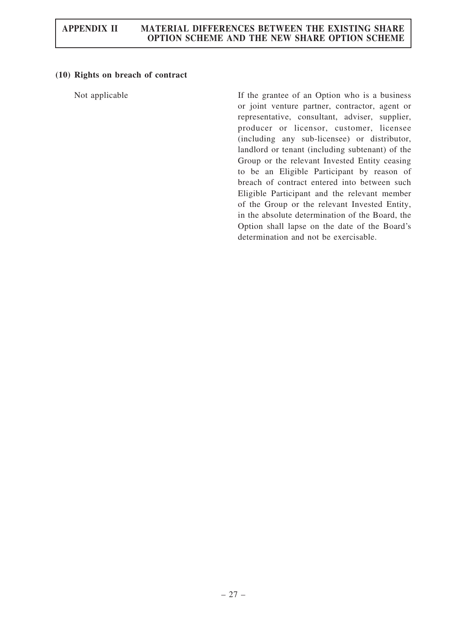# (10) Rights on breach of contract

Not applicable If the grantee of an Option who is a business or joint venture partner, contractor, agent or representative, consultant, adviser, supplier, producer or licensor, customer, licensee (including any sub-licensee) or distributor, landlord or tenant (including subtenant) of the Group or the relevant Invested Entity ceasing to be an Eligible Participant by reason of breach of contract entered into between such Eligible Participant and the relevant member of the Group or the relevant Invested Entity, in the absolute determination of the Board, the Option shall lapse on the date of the Board's determination and not be exercisable.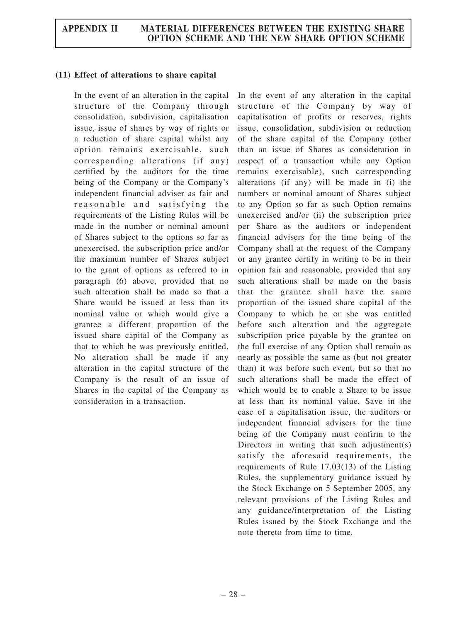## (11) Effect of alterations to share capital

In the event of an alteration in the capital structure of the Company through consolidation, subdivision, capitalisation issue, issue of shares by way of rights or a reduction of share capital whilst any option remains exercisable, such corresponding alterations (if any) certified by the auditors for the time being of the Company or the Company's independent financial adviser as fair and reasonable and satisfying the requirements of the Listing Rules will be made in the number or nominal amount of Shares subject to the options so far as unexercised, the subscription price and/or the maximum number of Shares subject to the grant of options as referred to in paragraph (6) above, provided that no such alteration shall be made so that a Share would be issued at less than its nominal value or which would give a grantee a different proportion of the issued share capital of the Company as that to which he was previously entitled. No alteration shall be made if any alteration in the capital structure of the Company is the result of an issue of Shares in the capital of the Company as consideration in a transaction.

In the event of any alteration in the capital structure of the Company by way of capitalisation of profits or reserves, rights issue, consolidation, subdivision or reduction of the share capital of the Company (other than an issue of Shares as consideration in respect of a transaction while any Option remains exercisable), such corresponding alterations (if any) will be made in (i) the numbers or nominal amount of Shares subject to any Option so far as such Option remains unexercised and/or (ii) the subscription price per Share as the auditors or independent financial advisers for the time being of the Company shall at the request of the Company or any grantee certify in writing to be in their opinion fair and reasonable, provided that any such alterations shall be made on the basis that the grantee shall have the same proportion of the issued share capital of the Company to which he or she was entitled before such alteration and the aggregate subscription price payable by the grantee on the full exercise of any Option shall remain as nearly as possible the same as (but not greater than) it was before such event, but so that no such alterations shall be made the effect of which would be to enable a Share to be issue at less than its nominal value. Save in the case of a capitalisation issue, the auditors or independent financial advisers for the time being of the Company must confirm to the Directors in writing that such adjustment(s) satisfy the aforesaid requirements, the requirements of Rule 17.03(13) of the Listing Rules, the supplementary guidance issued by the Stock Exchange on 5 September 2005, any relevant provisions of the Listing Rules and any guidance/interpretation of the Listing Rules issued by the Stock Exchange and the note thereto from time to time.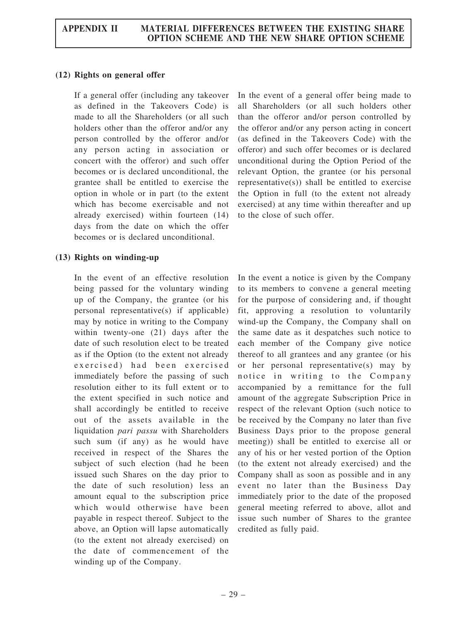# (12) Rights on general offer

If a general offer (including any takeover as defined in the Takeovers Code) is made to all the Shareholders (or all such holders other than the offeror and/or any person controlled by the offeror and/or any person acting in association or concert with the offeror) and such offer becomes or is declared unconditional, the grantee shall be entitled to exercise the option in whole or in part (to the extent which has become exercisable and not already exercised) within fourteen (14) days from the date on which the offer becomes or is declared unconditional.

# (13) Rights on winding-up

In the event of an effective resolution being passed for the voluntary winding up of the Company, the grantee (or his personal representative(s) if applicable) may by notice in writing to the Company within twenty-one (21) days after the date of such resolution elect to be treated as if the Option (to the extent not already exercised) had been exercised immediately before the passing of such resolution either to its full extent or to the extent specified in such notice and shall accordingly be entitled to receive out of the assets available in the liquidation pari passu with Shareholders such sum (if any) as he would have received in respect of the Shares the subject of such election (had he been issued such Shares on the day prior to the date of such resolution) less an amount equal to the subscription price which would otherwise have been payable in respect thereof. Subject to the above, an Option will lapse automatically (to the extent not already exercised) on the date of commencement of the winding up of the Company.

In the event of a general offer being made to all Shareholders (or all such holders other than the offeror and/or person controlled by the offeror and/or any person acting in concert (as defined in the Takeovers Code) with the offeror) and such offer becomes or is declared unconditional during the Option Period of the relevant Option, the grantee (or his personal representative(s)) shall be entitled to exercise the Option in full (to the extent not already exercised) at any time within thereafter and up to the close of such offer.

In the event a notice is given by the Company to its members to convene a general meeting for the purpose of considering and, if thought fit, approving a resolution to voluntarily wind-up the Company, the Company shall on the same date as it despatches such notice to each member of the Company give notice thereof to all grantees and any grantee (or his or her personal representative(s) may by notice in writing to the Company accompanied by a remittance for the full amount of the aggregate Subscription Price in respect of the relevant Option (such notice to be received by the Company no later than five Business Days prior to the propose general meeting)) shall be entitled to exercise all or any of his or her vested portion of the Option (to the extent not already exercised) and the Company shall as soon as possible and in any event no later than the Business Day immediately prior to the date of the proposed general meeting referred to above, allot and issue such number of Shares to the grantee credited as fully paid.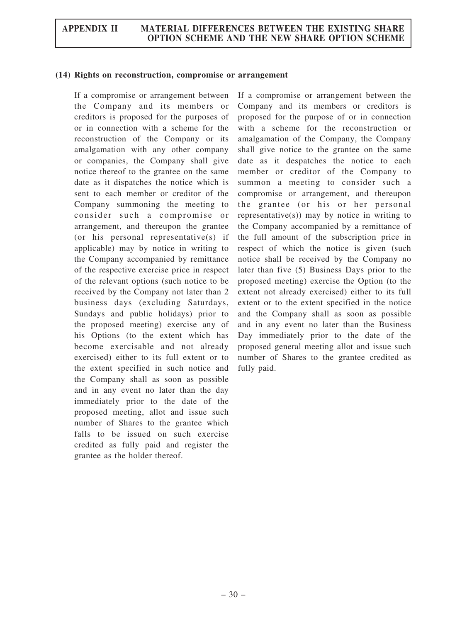#### (14) Rights on reconstruction, compromise or arrangement

If a compromise or arrangement between the Company and its members or creditors is proposed for the purposes of or in connection with a scheme for the reconstruction of the Company or its amalgamation with any other company or companies, the Company shall give notice thereof to the grantee on the same date as it dispatches the notice which is sent to each member or creditor of the Company summoning the meeting to consider such a compromise or arrangement, and thereupon the grantee (or his personal representative(s) if applicable) may by notice in writing to the Company accompanied by remittance of the respective exercise price in respect of the relevant options (such notice to be received by the Company not later than 2 business days (excluding Saturdays, Sundays and public holidays) prior to the proposed meeting) exercise any of his Options (to the extent which has become exercisable and not already exercised) either to its full extent or to the extent specified in such notice and the Company shall as soon as possible and in any event no later than the day immediately prior to the date of the proposed meeting, allot and issue such number of Shares to the grantee which falls to be issued on such exercise credited as fully paid and register the grantee as the holder thereof.

If a compromise or arrangement between the Company and its members or creditors is proposed for the purpose of or in connection with a scheme for the reconstruction or amalgamation of the Company, the Company shall give notice to the grantee on the same date as it despatches the notice to each member or creditor of the Company to summon a meeting to consider such a compromise or arrangement, and thereupon the grantee (or his or her personal representative $(s)$ ) may by notice in writing to the Company accompanied by a remittance of the full amount of the subscription price in respect of which the notice is given (such notice shall be received by the Company no later than five (5) Business Days prior to the proposed meeting) exercise the Option (to the extent not already exercised) either to its full extent or to the extent specified in the notice and the Company shall as soon as possible and in any event no later than the Business Day immediately prior to the date of the proposed general meeting allot and issue such number of Shares to the grantee credited as fully paid.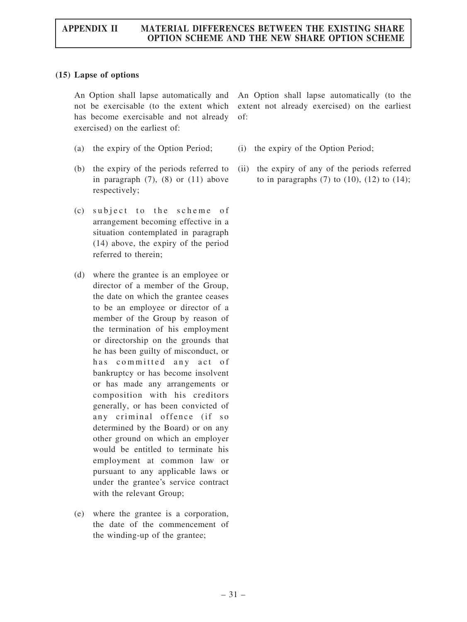# (15) Lapse of options

An Option shall lapse automatically and not be exercisable (to the extent which has become exercisable and not already exercised) on the earliest of:

- (a) the expiry of the Option Period; (i) the expiry of the Option Period;
- (b) the expiry of the periods referred to in paragraph  $(7)$ ,  $(8)$  or  $(11)$  above respectively;
- $(c)$  subject to the scheme of arrangement becoming effective in a situation contemplated in paragraph (14) above, the expiry of the period referred to therein;
- (d) where the grantee is an employee or director of a member of the Group, the date on which the grantee ceases to be an employee or director of a member of the Group by reason of the termination of his employment or directorship on the grounds that he has been guilty of misconduct, or has committed any act of bankruptcy or has become insolvent or has made any arrangements or composition with his creditors generally, or has been convicted of any criminal offence (if so determined by the Board) or on any other ground on which an employer would be entitled to terminate his employment at common law or pursuant to any applicable laws or under the grantee's service contract with the relevant Group;
- (e) where the grantee is a corporation, the date of the commencement of the winding-up of the grantee;

An Option shall lapse automatically (to the extent not already exercised) on the earliest of:

- 
- (ii) the expiry of any of the periods referred to in paragraphs  $(7)$  to  $(10)$ ,  $(12)$  to  $(14)$ ;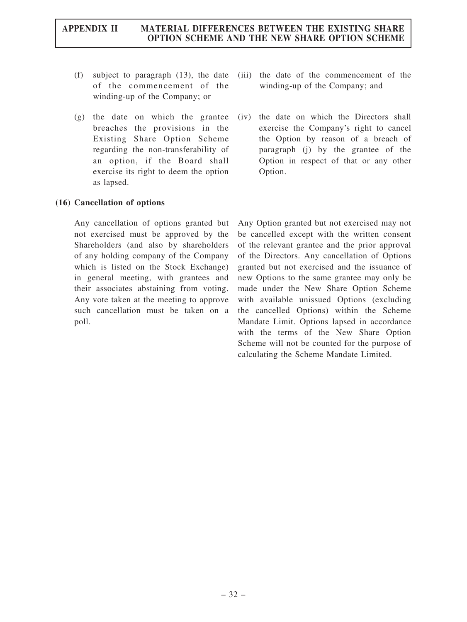- (f) subject to paragraph (13), the date of the commencement of the winding-up of the Company; or
- (g) the date on which the grantee breaches the provisions in the Existing Share Option Scheme regarding the non-transferability of an option, if the Board shall exercise its right to deem the option as lapsed.

# (16) Cancellation of options

Any cancellation of options granted but not exercised must be approved by the Shareholders (and also by shareholders of any holding company of the Company which is listed on the Stock Exchange) in general meeting, with grantees and their associates abstaining from voting. Any vote taken at the meeting to approve such cancellation must be taken on a poll.

- (iii) the date of the commencement of the winding-up of the Company; and
- (iv) the date on which the Directors shall exercise the Company's right to cancel the Option by reason of a breach of paragraph (j) by the grantee of the Option in respect of that or any other Option.

Any Option granted but not exercised may not be cancelled except with the written consent of the relevant grantee and the prior approval of the Directors. Any cancellation of Options granted but not exercised and the issuance of new Options to the same grantee may only be made under the New Share Option Scheme with available unissued Options (excluding the cancelled Options) within the Scheme Mandate Limit. Options lapsed in accordance with the terms of the New Share Option Scheme will not be counted for the purpose of calculating the Scheme Mandate Limited.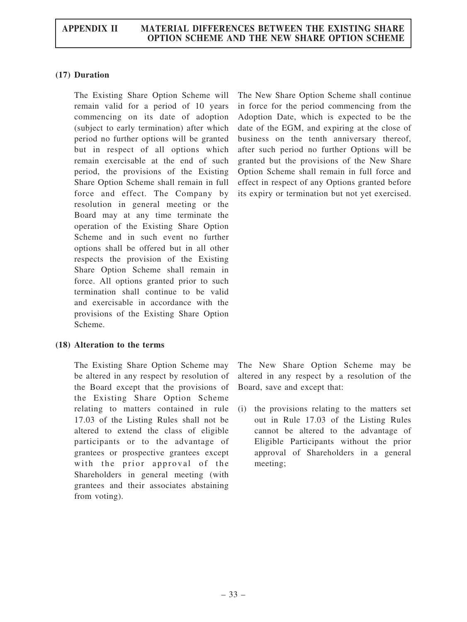# (17) Duration

The Existing Share Option Scheme will remain valid for a period of 10 years commencing on its date of adoption (subject to early termination) after which period no further options will be granted but in respect of all options which remain exercisable at the end of such period, the provisions of the Existing Share Option Scheme shall remain in full force and effect. The Company by resolution in general meeting or the Board may at any time terminate the operation of the Existing Share Option Scheme and in such event no further options shall be offered but in all other respects the provision of the Existing Share Option Scheme shall remain in force. All options granted prior to such termination shall continue to be valid and exercisable in accordance with the provisions of the Existing Share Option Scheme.

# (18) Alteration to the terms

The Existing Share Option Scheme may be altered in any respect by resolution of the Board except that the provisions of the Existing Share Option Scheme relating to matters contained in rule 17.03 of the Listing Rules shall not be altered to extend the class of eligible participants or to the advantage of grantees or prospective grantees except with the prior approval of the Shareholders in general meeting (with grantees and their associates abstaining from voting).

The New Share Option Scheme shall continue in force for the period commencing from the Adoption Date, which is expected to be the date of the EGM, and expiring at the close of business on the tenth anniversary thereof, after such period no further Options will be granted but the provisions of the New Share Option Scheme shall remain in full force and effect in respect of any Options granted before its expiry or termination but not yet exercised.

The New Share Option Scheme may be altered in any respect by a resolution of the Board, save and except that:

(i) the provisions relating to the matters set out in Rule 17.03 of the Listing Rules cannot be altered to the advantage of Eligible Participants without the prior approval of Shareholders in a general meeting;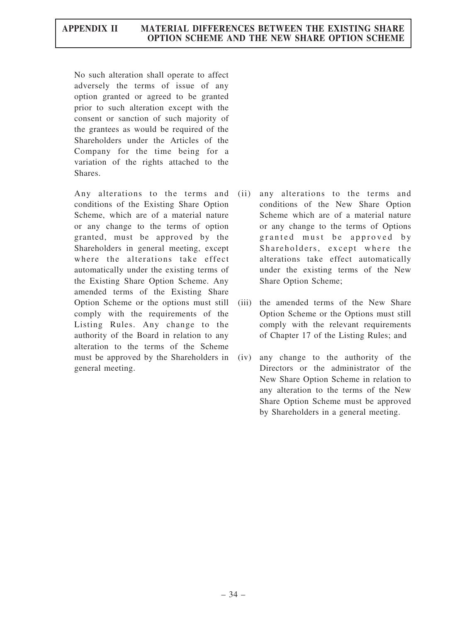No such alteration shall operate to affect adversely the terms of issue of any option granted or agreed to be granted prior to such alteration except with the consent or sanction of such majority of the grantees as would be required of the Shareholders under the Articles of the Company for the time being for a variation of the rights attached to the Shares.

Any alterations to the terms and conditions of the Existing Share Option Scheme, which are of a material nature or any change to the terms of option granted, must be approved by the Shareholders in general meeting, except where the alterations take effect automatically under the existing terms of the Existing Share Option Scheme. Any amended terms of the Existing Share Option Scheme or the options must still comply with the requirements of the Listing Rules. Any change to the authority of the Board in relation to any alteration to the terms of the Scheme must be approved by the Shareholders in (iv) general meeting.

- (ii) any alterations to the terms and conditions of the New Share Option Scheme which are of a material nature or any change to the terms of Options granted must be approved by Shareholders, except where the alterations take effect automatically under the existing terms of the New Share Option Scheme;
- (iii) the amended terms of the New Share Option Scheme or the Options must still comply with the relevant requirements of Chapter 17 of the Listing Rules; and
- any change to the authority of the Directors or the administrator of the New Share Option Scheme in relation to any alteration to the terms of the New Share Option Scheme must be approved by Shareholders in a general meeting.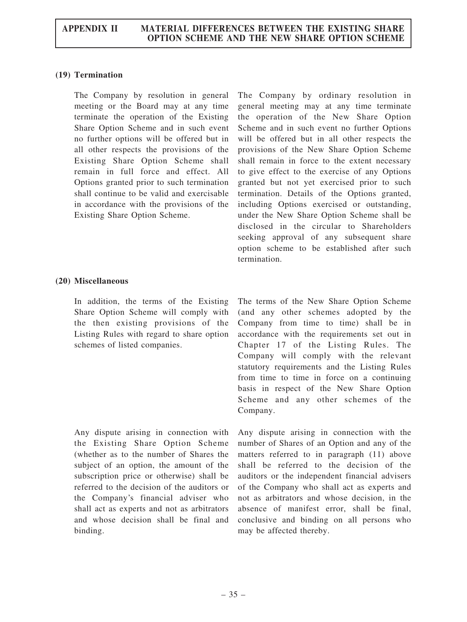# (19) Termination

The Company by resolution in general meeting or the Board may at any time terminate the operation of the Existing Share Option Scheme and in such event no further options will be offered but in all other respects the provisions of the Existing Share Option Scheme shall remain in full force and effect. All Options granted prior to such termination shall continue to be valid and exercisable in accordance with the provisions of the Existing Share Option Scheme.

The Company by ordinary resolution in general meeting may at any time terminate the operation of the New Share Option Scheme and in such event no further Options will be offered but in all other respects the provisions of the New Share Option Scheme shall remain in force to the extent necessary to give effect to the exercise of any Options granted but not yet exercised prior to such termination. Details of the Options granted, including Options exercised or outstanding, under the New Share Option Scheme shall be disclosed in the circular to Shareholders seeking approval of any subsequent share option scheme to be established after such termination.

### (20) Miscellaneous

In addition, the terms of the Existing Share Option Scheme will comply with the then existing provisions of the Listing Rules with regard to share option schemes of listed companies.

Any dispute arising in connection with the Existing Share Option Scheme (whether as to the number of Shares the subject of an option, the amount of the subscription price or otherwise) shall be referred to the decision of the auditors or the Company's financial adviser who shall act as experts and not as arbitrators and whose decision shall be final and binding.

The terms of the New Share Option Scheme (and any other schemes adopted by the Company from time to time) shall be in accordance with the requirements set out in Chapter 17 of the Listing Rules. The Company will comply with the relevant statutory requirements and the Listing Rules from time to time in force on a continuing basis in respect of the New Share Option Scheme and any other schemes of the Company.

Any dispute arising in connection with the number of Shares of an Option and any of the matters referred to in paragraph (11) above shall be referred to the decision of the auditors or the independent financial advisers of the Company who shall act as experts and not as arbitrators and whose decision, in the absence of manifest error, shall be final, conclusive and binding on all persons who may be affected thereby.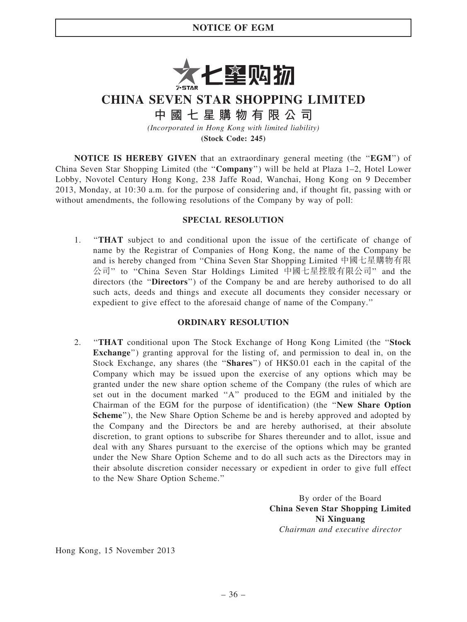# NOTICE OF EGM



CHINA SEVEN STAR SHOPPING LIMITED

中 國 七 星 購 物 有 限 公 司

(Incorporated in Hong Kong with limited liability)

(Stock Code: 245)

NOTICE IS HEREBY GIVEN that an extraordinary general meeting (the "EGM") of China Seven Star Shopping Limited (the ''Company'') will be held at Plaza 1–2, Hotel Lower Lobby, Novotel Century Hong Kong, 238 Jaffe Road, Wanchai, Hong Kong on 9 December 2013, Monday, at 10:30 a.m. for the purpose of considering and, if thought fit, passing with or without amendments, the following resolutions of the Company by way of poll:

# SPECIAL RESOLUTION

1. ''THAT subject to and conditional upon the issue of the certificate of change of name by the Registrar of Companies of Hong Kong, the name of the Company be and is hereby changed from ''China Seven Star Shopping Limited 中國七星購物有限 公司'' to ''China Seven Star Holdings Limited 中國七星控股有限公司'' and the directors (the "Directors") of the Company be and are hereby authorised to do all such acts, deeds and things and execute all documents they consider necessary or expedient to give effect to the aforesaid change of name of the Company.''

# ORDINARY RESOLUTION

2. ''THAT conditional upon The Stock Exchange of Hong Kong Limited (the ''Stock Exchange'') granting approval for the listing of, and permission to deal in, on the Stock Exchange, any shares (the "Shares") of HK\$0.01 each in the capital of the Company which may be issued upon the exercise of any options which may be granted under the new share option scheme of the Company (the rules of which are set out in the document marked ''A'' produced to the EGM and initialed by the Chairman of the EGM for the purpose of identification) (the ''New Share Option Scheme''), the New Share Option Scheme be and is hereby approved and adopted by the Company and the Directors be and are hereby authorised, at their absolute discretion, to grant options to subscribe for Shares thereunder and to allot, issue and deal with any Shares pursuant to the exercise of the options which may be granted under the New Share Option Scheme and to do all such acts as the Directors may in their absolute discretion consider necessary or expedient in order to give full effect to the New Share Option Scheme.''

> By order of the Board China Seven Star Shopping Limited Ni Xinguang Chairman and executive director

Hong Kong, 15 November 2013